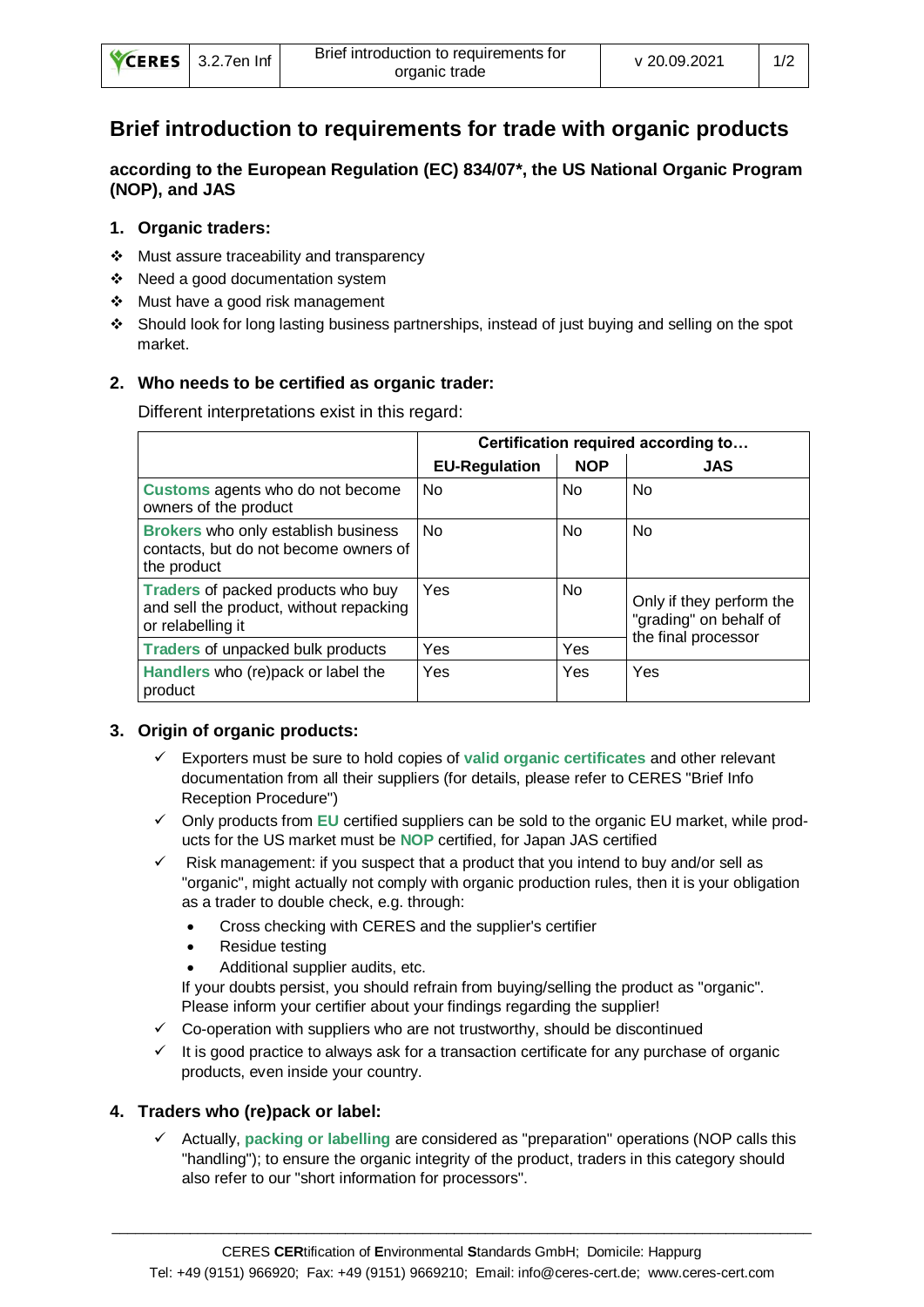|  | CERES 3.2.7en Inf | Brief introduction to requirements for<br>organic trade | v 20.09.2021 |  |
|--|-------------------|---------------------------------------------------------|--------------|--|
|--|-------------------|---------------------------------------------------------|--------------|--|

# **Brief introduction to requirements for trade with organic products**

**according to the European Regulation (EC) 834/07\*, the US National Organic Program (NOP), and JAS**

#### **1. Organic traders:**

- ❖ Must assure traceability and transparency
- ❖ Need a good documentation system
- ❖ Must have a good risk management
- ❖ Should look for long lasting business partnerships, instead of just buying and selling on the spot market.

### **2. Who needs to be certified as organic trader:**

Different interpretations exist in this regard:

|                                                                                                    | Certification required according to |                |                                                                           |  |
|----------------------------------------------------------------------------------------------------|-------------------------------------|----------------|---------------------------------------------------------------------------|--|
|                                                                                                    | <b>EU-Regulation</b>                | <b>NOP</b>     | <b>JAS</b>                                                                |  |
| Customs agents who do not become<br>owners of the product                                          | <b>No</b>                           | <b>No</b>      | <b>No</b>                                                                 |  |
| Brokers who only establish business<br>contacts, but do not become owners of<br>the product        | N <sub>0</sub>                      | N <sub>o</sub> | <b>No</b>                                                                 |  |
| Traders of packed products who buy<br>and sell the product, without repacking<br>or relabelling it | Yes                                 | No.            | Only if they perform the<br>"grading" on behalf of<br>the final processor |  |
| <b>Traders of unpacked bulk products</b>                                                           | Yes                                 | Yes            |                                                                           |  |
| Handlers who (re)pack or label the<br>product                                                      | Yes                                 | Yes            | Yes                                                                       |  |

#### **3. Origin of organic products:**

- ✓ Exporters must be sure to hold copies of **valid organic certificates** and other relevant documentation from all their suppliers (for details, please refer to CERES "Brief Info Reception Procedure")
- ✓ Only products from **EU** certified suppliers can be sold to the organic EU market, while products for the US market must be **NOP** certified, for Japan JAS certified
- $\checkmark$  Risk management: if you suspect that a product that you intend to buy and/or sell as "organic", might actually not comply with organic production rules, then it is your obligation as a trader to double check, e.g. through:
	- Cross checking with CERES and the supplier's certifier
	- Residue testing
	- Additional supplier audits, etc.

If your doubts persist, you should refrain from buying/selling the product as "organic". Please inform your certifier about your findings regarding the supplier!

- $\checkmark$  Co-operation with suppliers who are not trustworthy, should be discontinued
- ✓ It is good practice to always ask for a transaction certificate for any purchase of organic products, even inside your country.

## **4. Traders who (re)pack or label:**

✓ Actually, **packing or labelling** are considered as "preparation" operations (NOP calls this "handling"); to ensure the organic integrity of the product, traders in this category should also refer to our "short information for processors".

 $\_$  ,  $\_$  ,  $\_$  ,  $\_$  ,  $\_$  ,  $\_$  ,  $\_$  ,  $\_$  ,  $\_$  ,  $\_$  ,  $\_$  ,  $\_$  ,  $\_$  ,  $\_$  ,  $\_$  ,  $\_$  ,  $\_$  ,  $\_$  ,  $\_$  ,  $\_$  ,  $\_$  ,  $\_$  ,  $\_$  ,  $\_$  ,  $\_$  ,  $\_$  ,  $\_$  ,  $\_$  ,  $\_$  ,  $\_$  ,  $\_$  ,  $\_$  ,  $\_$  ,  $\_$  ,  $\_$  ,  $\_$  ,  $\_$  ,